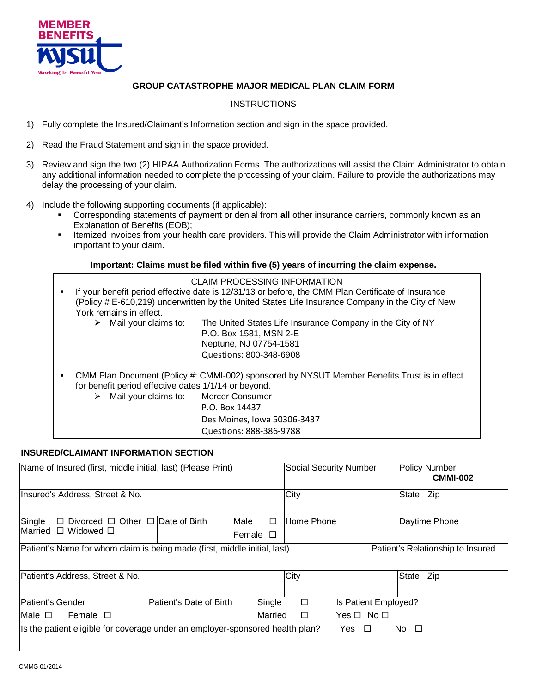

# **GROUP CATASTROPHE MAJOR MEDICAL PLAN CLAIM FORM**

# **INSTRUCTIONS**

- 1) Fully complete the Insured/Claimant's Information section and sign in the space provided.
- 2) Read the Fraud Statement and sign in the space provided.
- 3) Review and sign the two (2) HIPAA Authorization Forms. The authorizations will assist the Claim Administrator to obtain any additional information needed to complete the processing of your claim. Failure to provide the authorizations may delay the processing of your claim.
- 4) Include the following supporting documents (if applicable):
	- Corresponding statements of payment or denial from **all** other insurance carriers, commonly known as an Explanation of Benefits (EOB);
	- Itemized invoices from your health care providers. This will provide the Claim Administrator with information important to your claim.

## **Important: Claims must be filed within five (5) years of incurring the claim expense.**

|   |                                                      | CLAIM PROCESSING INFORMATION                                                                       |
|---|------------------------------------------------------|----------------------------------------------------------------------------------------------------|
| ٠ |                                                      | If your benefit period effective date is 12/31/13 or before, the CMM Plan Certificate of Insurance |
|   |                                                      | (Policy # E-610,219) underwritten by the United States Life Insurance Company in the City of New   |
|   | York remains in effect.                              |                                                                                                    |
|   | $\triangleright$ Mail your claims to:                | The United States Life Insurance Company in the City of NY                                         |
|   |                                                      | P.O. Box 1581, MSN 2-E                                                                             |
|   |                                                      | Neptune, NJ 07754-1581                                                                             |
|   |                                                      | Questions: 800-348-6908                                                                            |
| ٠ |                                                      | CMM Plan Document (Policy #: CMMI-002) sponsored by NYSUT Member Benefits Trust is in effect       |
|   | for benefit period effective dates 1/1/14 or beyond. |                                                                                                    |
|   | Mail your claims to: Mercer Consumer                 |                                                                                                    |
|   |                                                      | P.O. Box 14437                                                                                     |
|   |                                                      | Des Moines, Iowa 50306-3437                                                                        |
|   |                                                      | Ouestions: 888-386-9788                                                                            |

#### **INSURED/CLAIMANT INFORMATION SECTION**

| Name of Insured (first, middle initial, last) (Please Print)                                                   |                                                   |                         | <b>Social Security Number</b> |            | Policy Number<br><b>CMMI-002</b> |                      |               |       |     |
|----------------------------------------------------------------------------------------------------------------|---------------------------------------------------|-------------------------|-------------------------------|------------|----------------------------------|----------------------|---------------|-------|-----|
| Insured's Address, Street & No.                                                                                |                                                   |                         |                               |            | City                             |                      |               | State | Zip |
| Single                                                                                                         | $\Box$ Divorced $\Box$ Other $\Box$ Date of Birth | Male                    | $\Box$                        | Home Phone |                                  |                      | Daytime Phone |       |     |
| Married<br>$\Box$ Widowed $\Box$                                                                               |                                                   |                         | Female $\square$              |            |                                  |                      |               |       |     |
| Patient's Name for whom claim is being made (first, middle initial, last)<br>Patient's Relationship to Insured |                                                   |                         |                               |            |                                  |                      |               |       |     |
| Patient's Address, Street & No.                                                                                |                                                   |                         |                               |            | City                             |                      |               | State | Zip |
| Patient's Gender                                                                                               |                                                   | Patient's Date of Birth |                               | Single     | $\Box$                           | Is Patient Employed? |               |       |     |
| Female $\square$<br>Male $\square$                                                                             |                                                   |                         |                               | Married    | $\Box$                           | $Yes \Box No \Box$   |               |       |     |
| Its the patient eligible for coverage under an employer-sponsored health plan?<br>No $\square$<br>Yes $\Box$   |                                                   |                         |                               |            |                                  |                      |               |       |     |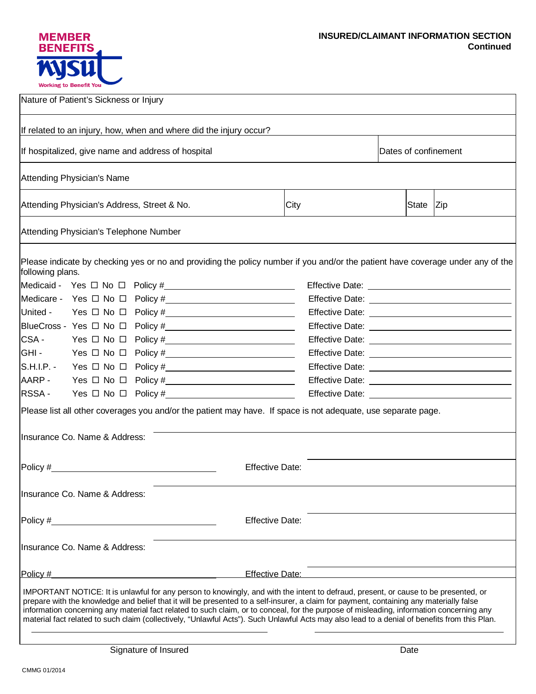## **INSURED/CLAIMANT INFORMATION SECTION Continued**

| <b>MEMBER</b><br><b>BENEFITS</b> |
|----------------------------------|
| W                                |
| <b>Working to Benefit You</b>    |

| Nature of Patient's Sickness or Injury              |                                        |                                                                                                                                                                                                                                                                                                                                                                                                                                                                                                                                                                             |                        |  |                      |     |                                                                 |
|-----------------------------------------------------|----------------------------------------|-----------------------------------------------------------------------------------------------------------------------------------------------------------------------------------------------------------------------------------------------------------------------------------------------------------------------------------------------------------------------------------------------------------------------------------------------------------------------------------------------------------------------------------------------------------------------------|------------------------|--|----------------------|-----|-----------------------------------------------------------------|
|                                                     |                                        | If related to an injury, how, when and where did the injury occur?                                                                                                                                                                                                                                                                                                                                                                                                                                                                                                          |                        |  |                      |     |                                                                 |
| If hospitalized, give name and address of hospital  |                                        |                                                                                                                                                                                                                                                                                                                                                                                                                                                                                                                                                                             |                        |  | Dates of confinement |     |                                                                 |
|                                                     | Attending Physician's Name             |                                                                                                                                                                                                                                                                                                                                                                                                                                                                                                                                                                             |                        |  |                      |     |                                                                 |
| Attending Physician's Address, Street & No.<br>City |                                        |                                                                                                                                                                                                                                                                                                                                                                                                                                                                                                                                                                             |                        |  | State                | Zip |                                                                 |
|                                                     | Attending Physician's Telephone Number |                                                                                                                                                                                                                                                                                                                                                                                                                                                                                                                                                                             |                        |  |                      |     |                                                                 |
| following plans.                                    |                                        | Please indicate by checking yes or no and providing the policy number if you and/or the patient have coverage under any of the                                                                                                                                                                                                                                                                                                                                                                                                                                              |                        |  |                      |     |                                                                 |
|                                                     |                                        |                                                                                                                                                                                                                                                                                                                                                                                                                                                                                                                                                                             |                        |  |                      |     |                                                                 |
|                                                     |                                        |                                                                                                                                                                                                                                                                                                                                                                                                                                                                                                                                                                             |                        |  |                      |     |                                                                 |
|                                                     |                                        | United - Yes $\Box$ No $\Box$ Policy # $\_\_\_\_\_\_\_\_\_\_\_\_\_\_\_\_\_$                                                                                                                                                                                                                                                                                                                                                                                                                                                                                                 |                        |  |                      |     |                                                                 |
|                                                     |                                        |                                                                                                                                                                                                                                                                                                                                                                                                                                                                                                                                                                             |                        |  |                      |     |                                                                 |
| CSA-                                                |                                        |                                                                                                                                                                                                                                                                                                                                                                                                                                                                                                                                                                             |                        |  |                      |     |                                                                 |
| GHI-                                                |                                        | $Yes \Box No \Box Policy \#$                                                                                                                                                                                                                                                                                                                                                                                                                                                                                                                                                |                        |  |                      |     |                                                                 |
|                                                     |                                        | $S.H.I.P. - Yes \Box No \Box Policy \#$                                                                                                                                                                                                                                                                                                                                                                                                                                                                                                                                     |                        |  |                      |     |                                                                 |
| AARP-                                               |                                        |                                                                                                                                                                                                                                                                                                                                                                                                                                                                                                                                                                             |                        |  |                      |     |                                                                 |
| RSSA-                                               |                                        |                                                                                                                                                                                                                                                                                                                                                                                                                                                                                                                                                                             |                        |  |                      |     | Effective Date: <u>contract the contract of the contract of</u> |
|                                                     |                                        | Please list all other coverages you and/or the patient may have. If space is not adequate, use separate page.                                                                                                                                                                                                                                                                                                                                                                                                                                                               |                        |  |                      |     |                                                                 |
|                                                     | Insurance Co. Name & Address:          |                                                                                                                                                                                                                                                                                                                                                                                                                                                                                                                                                                             |                        |  |                      |     |                                                                 |
|                                                     |                                        |                                                                                                                                                                                                                                                                                                                                                                                                                                                                                                                                                                             | <b>Effective Date:</b> |  |                      |     |                                                                 |
|                                                     | Insurance Co. Name & Address:          |                                                                                                                                                                                                                                                                                                                                                                                                                                                                                                                                                                             |                        |  |                      |     |                                                                 |
|                                                     |                                        |                                                                                                                                                                                                                                                                                                                                                                                                                                                                                                                                                                             | <b>Effective Date:</b> |  |                      |     |                                                                 |
|                                                     | Insurance Co. Name & Address:          |                                                                                                                                                                                                                                                                                                                                                                                                                                                                                                                                                                             |                        |  |                      |     |                                                                 |
| Policy #                                            |                                        |                                                                                                                                                                                                                                                                                                                                                                                                                                                                                                                                                                             | Effective Date:        |  |                      |     |                                                                 |
|                                                     |                                        | IMPORTANT NOTICE: It is unlawful for any person to knowingly, and with the intent to defraud, present, or cause to be presented, or<br>prepare with the knowledge and belief that it will be presented to a self-insurer, a claim for payment, containing any materially false<br>information concerning any material fact related to such claim, or to conceal, for the purpose of misleading, information concerning any<br>material fact related to such claim (collectively, "Unlawful Acts"). Such Unlawful Acts may also lead to a denial of benefits from this Plan. |                        |  |                      |     |                                                                 |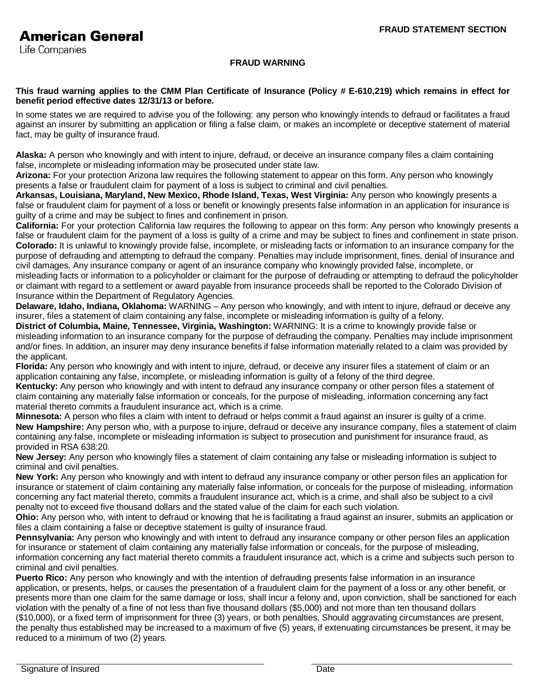Life Companies

## **FRAUD WARNING**

#### **This fraud warning applies to the CMM Plan Certificate of Insurance (Policy # E-610,219) which remains in effect for benefit period effective dates 12/31/13 or before.**

In some states we are required to advise you of the following: any person who knowingly intends to defraud or facilitates a fraud against an insurer by submitting an application or filing a false claim, or makes an incomplete or deceptive statement of material fact, may be guilty of insurance fraud.

**Alaska:** A person who knowingly and with intent to injure, defraud, or deceive an insurance company files a claim containing false, incomplete or misleading information may be prosecuted under state law.

**Arizona:** For your protection Arizona law requires the following statement to appear on this form. Any person who knowingly presents a false or fraudulent claim for payment of a loss is subject to criminal and civil penalties.

**Arkansas, Louisiana, Maryland, New Mexico, Rhode Island, Texas, West Virginia:** Any person who knowingly presents a false or fraudulent claim for payment of a loss or benefit or knowingly presents false information in an application for insurance is guilty of a crime and may be subject to fines and confinement in prison.

**California:** For your protection California law requires the following to appear on this form: Any person who knowingly presents a false or fraudulent claim for the payment of a loss is guilty of a crime and may be subject to fines and confinement in state prison. **Colorado:** It is unlawful to knowingly provide false, incomplete, or misleading facts or information to an insurance company for the purpose of defrauding and attempting to defraud the company. Penalties may include imprisonment, fines, denial of insurance and civil damages. Any insurance company or agent of an insurance company who knowingly provided false, incomplete, or misleading facts or information to a policyholder or claimant for the purpose of defrauding or attempting to defraud the policyholder or claimant with regard to a settlement or award payable from insurance proceeds shall be reported to the Colorado Division of Insurance within the Department of Regulatory Agencies.

**Delaware, Idaho, Indiana, Oklahoma:** WARNING – Any person who knowingly, and with intent to injure, defraud or deceive any insurer, files a statement of claim containing any false, incomplete or misleading information is guilty of a felony.

**District of Columbia, Maine, Tennessee, Virginia, Washington:** WARNING: It is a crime to knowingly provide false or misleading information to an insurance company for the purpose of defrauding the company. Penalties may include imprisonment and/or fines. In addition, an insurer may deny insurance benefits if false information materially related to a claim was provided by the applicant.

**Florida:** Any person who knowingly and with intent to injure, defraud, or deceive any insurer files a statement of claim or an application containing any false, incomplete, or misleading information is guilty of a felony of the third degree.

**Kentucky:** Any person who knowingly and with intent to defraud any insurance company or other person files a statement of claim containing any materially false information or conceals, for the purpose of misleading, information concerning any fact material thereto commits a fraudulent insurance act, which is a crime.

**Minnesota:** A person who files a claim with intent to defraud or helps commit a fraud against an insurer is guilty of a crime. **New Hampshire:** Any person who, with a purpose to injure, defraud or deceive any insurance company, files a statement of claim containing any false, incomplete or misleading information is subject to prosecution and punishment for insurance fraud, as provided in RSA 638:20.

**New Jersey:** Any person who knowingly files a statement of claim containing any false or misleading information is subject to criminal and civil penalties.

**New York:** Any person who knowingly and with intent to defraud any insurance company or other person files an application for insurance or statement of claim containing any materially false information, or conceals for the purpose of misleading, information concerning any fact material thereto, commits a fraudulent insurance act, which is a crime, and shall also be subject to a civil penalty not to exceed five thousand dollars and the stated value of the claim for each such violation.

**Ohio:** Any person who, with intent to defraud or knowing that he is facilitating a fraud against an insurer, submits an application or files a claim containing a false or deceptive statement is guilty of insurance fraud.

**Pennsylvania:** Any person who knowingly and with intent to defraud any insurance company or other person files an application for insurance or statement of claim containing any materially false information or conceals, for the purpose of misleading, information concerning any fact material thereto commits a fraudulent insurance act, which is a crime and subjects such person to criminal and civil penalties.

**Puerto Rico:** Any person who knowingly and with the intention of defrauding presents false information in an insurance application, or presents, helps, or causes the presentation of a fraudulent claim for the payment of a loss or any other benefit, or presents more than one claim for the same damage or loss, shall incur a felony and, upon conviction, shall be sanctioned for each violation with the penalty of a fine of not less than five thousand dollars (\$5,000) and not more than ten thousand dollars (\$10,000), or a fixed term of imprisonment for three (3) years, or both penalties. Should aggravating circumstances are present, the penalty thus established may be increased to a maximum of five (5) years, if extenuating circumstances be present, it may be reduced to a minimum of two (2) years.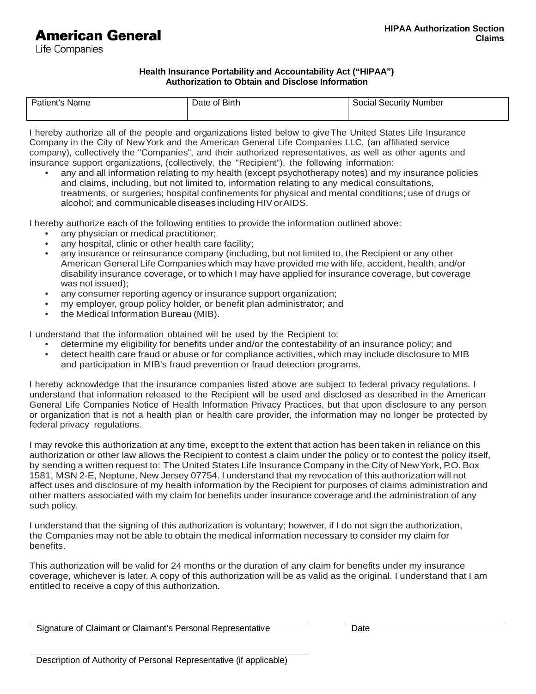# **American General**

Life Companies

#### **Health Insurance Portability and Accountability Act ("HIPAA") Authorization to Obtain and Disclose Information**

| Patient's Name | Date of Birth | <b>Social Security Number</b> |  |  |  |
|----------------|---------------|-------------------------------|--|--|--|
|                |               |                               |  |  |  |

I hereby authorize all of the people and organizations listed below to give The United States Life Insurance Company in the City of New York and the American General Life Companies LLC, (an affiliated service company), collectively the "Companies", and their authorized representatives, as well as other agents and insurance support organizations, (collectively, the "Recipient"), the following information:

• any and all information relating to my health (except psychotherapy notes) and my insurance policies and claims, including, but not limited to, information relating to any medical consultations, treatments, or surgeries; hospital confinements for physical and mental conditions; use of drugs or alcohol; and communicable diseases including HIV or AIDS.

I hereby authorize each of the following entities to provide the information outlined above:

- any physician or medical practitioner:
- any hospital, clinic or other health care facility;
- any insurance or reinsurance company (including, but not limited to, the Recipient or any other American General Life Companies which may have provided me with life, accident, health, and/or disability insurance coverage, or to which I may have applied for insurance coverage, but coverage was not issued);
- any consumer reporting agency or insurance support organization;
- my employer, group policy holder, or benefit plan administrator; and
- the Medical Information Bureau (MIB).

I understand that the information obtained will be used by the Recipient to:

- determine my eligibility for benefits under and/or the contestability of an insurance policy; and
- detect health care fraud or abuse or for compliance activities, which may include disclosure to MIB and participation in MIB's fraud prevention or fraud detection programs.

I hereby acknowledge that the insurance companies listed above are subject to federal privacy regulations. I understand that information released to the Recipient will be used and disclosed as described in the American General Life Companies Notice of Health Information Privacy Practices, but that upon disclosure to any person or organization that is not a health plan or health care provider, the information may no longer be protected by federal privacy regulations.

I may revoke this authorization at any time, except to the extent that action has been taken in reliance on this authorization or other law allows the Recipient to contest a claim under the policy or to contest the policy itself, by sending a written request to: The United States Life Insurance Company in the City of New York, P.O. Box 1581, MSN 2-E, Neptune, New Jersey 07754. I understand that my revocation of this authorization will not affect uses and disclosure of my health information by the Recipient for purposes of claims administration and other matters associated with my claim for benefits under insurance coverage and the administration of any such policy.

I understand that the signing of this authorization is voluntary; however, if I do not sign the authorization, the Companies may not be able to obtain the medical information necessary to consider my claim for benefits.

This authorization will be valid for 24 months or the duration of any claim for benefits under my insurance coverage, whichever is later. A copy of this authorization will be as valid as the original. I understand that I am entitled to receive a copy of this authorization.

Signature of Claimant or Claimant's Personal Representative Date